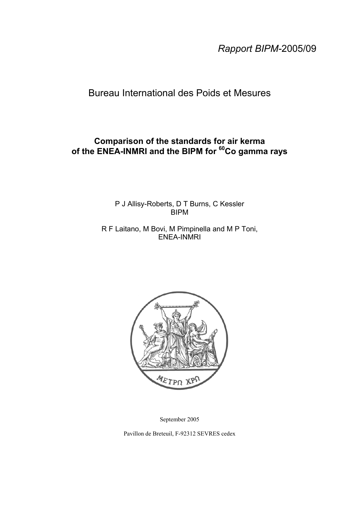*Rapport BIPM-*2005/09

## Bureau International des Poids et Mesures

## **Comparison of the standards for air kerma of the ENEA-INMRI and the BIPM for 60Co gamma rays**

P J Allisy-Roberts, D T Burns, C Kessler BIPM

R F Laitano, M Bovi, M Pimpinella and M P Toni, ENEA-INMRI



September 2005

Pavillon de Breteuil, F-92312 SEVRES cedex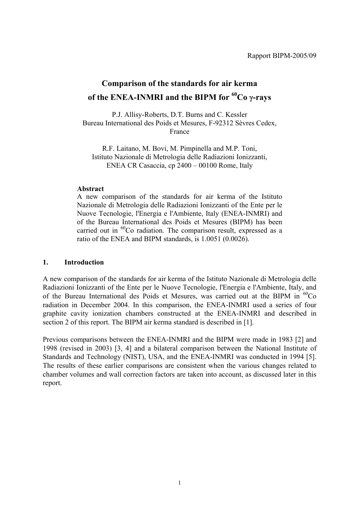# **Comparison of the standards for air kerma of the ENEA-INMRI and the BIPM for 60Co** γ**-rays**

P.J. Allisy-Roberts, D.T. Burns and C. Kessler Bureau International des Poids et Mesures, F-92312 Sèvres Cedex, France

R.F. Laitano, M. Bovi, M. Pimpinella and M.P. Toni, Istituto Nazionale di Metrologia delle Radiazioni Ionizzanti, ENEA CR Casaccia, cp 2400 – 00100 Rome, Italy

### **Abstract**

A new comparison of the standards for air kerma of the Istituto Nazionale di Metrologia delle Radiazioni Ionizzanti of the Ente per le Nuove Tecnologie, l'Energia e l'Ambiente, Italy (ENEA-INMRI) and of the Bureau International des Poids et Mesures (BIPM) has been carried out in <sup>60</sup>Co radiation. The comparison result, expressed as a ratio of the ENEA and BIPM standards, is 1.0051 (0.0026).

#### **1. Introduction**

A new comparison of the standards for air kerma of the Istituto Nazionale di Metrologia delle Radiazioni Ionizzanti of the Ente per le Nuove Tecnologie, l'Energia e l'Ambiente, Italy, and of the Bureau International des Poids et Mesures, was carried out at the BIPM in  ${}^{60}Co$ radiation in December 2004. In this comparison, the ENEA-INMRI used a series of four graphite cavity ionization chambers constructed at the ENEA-INMRI and described in section 2 of this report. The BIPM air kerma standard is described in [1].

Previous comparisons between the ENEA-INMRI and the BIPM were made in 1983 [2] and 1998 (revised in 2003) [3, 4] and a bilateral comparison between the National Institute of Standards and Technology (NIST), USA, and the ENEA-INMRI was conducted in 1994 [5]. The results of these earlier comparisons are consistent when the various changes related to chamber volumes and wall correction factors are taken into account, as discussed later in this report.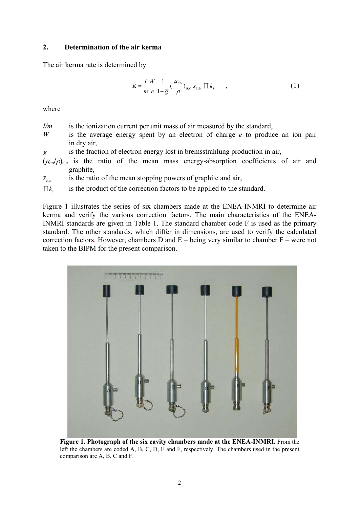#### **2. Determination of the air kerma**

The air kerma rate is determined by

$$
\dot{K} = \frac{I}{m} \frac{W}{e} \frac{1}{1 - \overline{g}} \left( \frac{\mu_{\text{en}}}{\rho} \right)_{\text{a,c}} \overline{s}_{\text{c,a}} \prod k_i \tag{1}
$$

where

- *I/m* is the ionization current per unit mass of air measured by the standard,
- *W* is the average energy spent by an electron of charge *e* to produce an ion pair in dry air,
- $\overline{g}$  is the fraction of electron energy lost in bremsstrahlung production in air,
- $(\mu_{en}/\rho)_{ac}$  is the ratio of the mean mass energy-absorption coefficients of air and graphite,

 $\bar{s}_{\rm ca}$  is the ratio of the mean stopping powers of graphite and air,

 $\prod k_i$  is the product of the correction factors to be applied to the standard.

Figure 1 illustrates the series of six chambers made at the ENEA-INMRI to determine air kerma and verify the various correction factors. The main characteristics of the ENEA-INMRI standards are given in Table 1. The standard chamber code F is used as the primary standard. The other standards, which differ in dimensions, are used to verify the calculated correction factors. However, chambers D and  $E -$  being very similar to chamber  $F -$  were not taken to the BIPM for the present comparison.



**Figure 1. Photograph of the six cavity chambers made at the ENEA-INMRI.** From the left the chambers are coded A, B, C, D, E and F, respectively. The chambers used in the present comparison are A, B, C and F.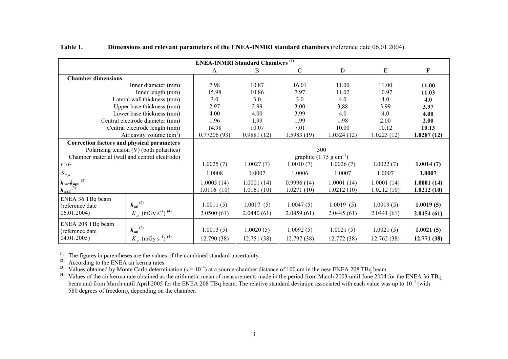|                                                                                                    | <b>ENEA-INMRI Standard Chambers</b> <sup>(1)</sup>                                |                                            |                          |                          |                          |                          |                          |  |
|----------------------------------------------------------------------------------------------------|-----------------------------------------------------------------------------------|--------------------------------------------|--------------------------|--------------------------|--------------------------|--------------------------|--------------------------|--|
|                                                                                                    |                                                                                   | A                                          | B                        | $\mathcal{C}$            | $\mathbf D$              | E                        | F                        |  |
| <b>Chamber dimensions</b>                                                                          |                                                                                   |                                            |                          |                          |                          |                          |                          |  |
|                                                                                                    | Inner diameter (mm)                                                               | 7.98                                       | 10.87                    | 16.01                    | 11.00                    | 11.00                    | 11.00                    |  |
|                                                                                                    | Inner length (mm)                                                                 | 15.98                                      | 10.86                    | 7.97                     | 11.02                    | 10.97                    | 11.03                    |  |
|                                                                                                    | Lateral wall thickness (mm)                                                       | 3.0                                        | 3.0                      | 3.0                      | 4.0                      | 4.0                      | 4.0                      |  |
|                                                                                                    | Upper base thickness (mm)                                                         | 2.97                                       | 2.99                     | 3.00                     | 3,88                     | 3.99                     | 3.97                     |  |
|                                                                                                    | Lower base thickness (mm)                                                         | 4.00                                       | 4.00                     | 3.99                     | 4.0                      | 4.0                      | 4.00                     |  |
|                                                                                                    | Central electrode diameter (mm)                                                   | 1.96                                       | 1.99                     | 1.99                     | 1.98                     | 2.00                     | 2.00                     |  |
|                                                                                                    | Central electrode length (mm)                                                     | 14.98                                      | 10.07                    | 7.01                     | 10.00                    | 10.12                    | 10.13                    |  |
| Air cavity volume $(cm3)$                                                                          |                                                                                   | 0.77206(93)                                | 0.9881(12)               | 1.5983(19)               | 1.0324(12)               | 1.0223(12)               | 1.0287(12)               |  |
| <b>Correction factors and physical parameters</b><br>Chamber material (wall and central electrode) | Polarizing tension (V) (both polarities)                                          | 300<br>graphite $(1.75 \text{ g cm}^{-3})$ |                          |                          |                          |                          |                          |  |
| $I + / I -$                                                                                        |                                                                                   | 1.0025(7)                                  | 1.0027(7)                | 1.0010(7)                | 1.0026(7)                | 1.0022(7)                | 1.0014(7)                |  |
| $\overline{S}_{c,a}$                                                                               |                                                                                   | 1.0008                                     | 1.0007                   | 1.0006                   | 1.0007                   | 1.0007                   | 1.0007                   |  |
| (2)<br>$\frac{k_{\text{pn}^*}k_{\text{npn}}}{k_{\text{wall}}^{(3)}}$                               |                                                                                   | 1.0005(14)<br>1.0116(10)                   | 1.0001(14)<br>1.0161(10) | 0.9996(14)<br>1.0271(10) | 1.0001(14)<br>1.0212(10) | 1.0001(14)<br>1.0212(10) | 1.0001(14)<br>1.0212(10) |  |
| ENEA 36 TBq beam<br>(reference date<br>06.01.2004)                                                 | $k_{\rm sat}$ <sup>(2)</sup><br>$\dot{K}_a$ (mGy s <sup>-1</sup> ) <sup>(4)</sup> | 1.0011(5)<br>2.0500(61)                    | 1.0017(5)<br>2.0440(61)  | 1.0047(5)<br>2.0459(61)  | 1.0019(5)<br>2.0445(61)  | 1.0019(5)<br>2.0441(61)  | 1.0019(5)<br>2.0454(61)  |  |
| ENEA 208 TBq beam<br>(reference date<br>04.01.2005)                                                | $k_{\rm sat}$ <sup>(2)</sup><br>$K_a$ (mGy s <sup>-1</sup> ) <sup>(4)</sup>       | 1.0013(5)<br>12.790 (38)                   | 1.0020(5)<br>12.751 (38) | 1.0092(5)<br>12.797 (38) | 1.0021(5)<br>12.772(38)  | 1.0021(5)<br>12.762 (38) | 1.0021(5)<br>12.771 (38) |  |

**Table 1.Dimensions and relevant parameters of the ENEA-INMRI standard chambers** (reference date 06.01.2004)

 $<sup>(1)</sup>$  The figures in parentheses are the values of the combined standard uncertainty.</sup>

 $^{(2)}$  According to the ENEA air kerma rates.

<sup>(3)</sup> Values obtained by Monte Carlo determination ( $s = 10^{-4}$ ) at a source-chamber distance of 100 cm in the new ENEA 208 TBq beam.

<sup>(4)</sup> Values of the air kerma rate obtained as the arithmetic mean of measurements made in the period from March 2003 until June 2004 for the ENEA 36 TBq beam and from March until April 2005 for the ENEA 208 TBq beam. The relative standard deviation associated with each value was up to  $10^{-4}$  (with 580 degrees of freedom), depending on the chamber.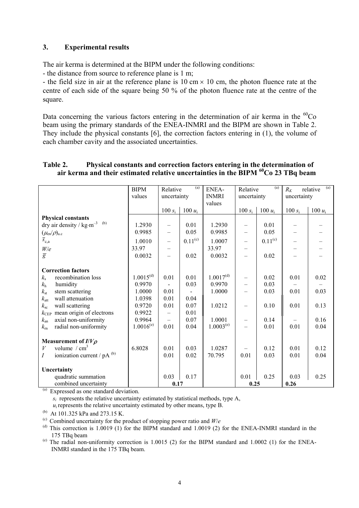#### **3. Experimental results**

The air kerma is determined at the BIPM under the following conditions:

- the distance from source to reference plane is 1 m;

- the field size in air at the reference plane is  $10 \text{ cm} \times 10 \text{ cm}$ , the photon fluence rate at the centre of each side of the square being 50 % of the photon fluence rate at the centre of the square.

Data concerning the various factors entering in the determination of air kerma in the  ${}^{60}Co$ beam using the primary standards of the ENEA-INMRI and the BIPM are shown in Table 2. They include the physical constants [6], the correction factors entering in (1), the volume of each chamber cavity and the associated uncertainties.

|                                                               | <b>BIPM</b>    | Relative                 | (a)          | ENEA-          | Relative                 | (a)          | $R_K$       | (a)<br>relative          |
|---------------------------------------------------------------|----------------|--------------------------|--------------|----------------|--------------------------|--------------|-------------|--------------------------|
|                                                               | values         | uncertainty              |              | <b>INMRI</b>   | uncertainty              |              | uncertainty |                          |
|                                                               |                |                          |              | values         |                          |              |             |                          |
|                                                               |                | $100 s_i$                | 100 $u_i$    |                | $100 s_i$                | 100 $u_i$    | 100 $s_i$   | 100 $u_i$                |
| <b>Physical constants</b>                                     |                |                          |              |                |                          |              |             |                          |
| dry air density / $\text{kg}\cdot\text{m}^{-3}$ $\,$ $^{(b)}$ | 1.2930         |                          | 0.01         | 1.2930         |                          | 0.01         |             |                          |
| $(\mu_{\text{\rm en}}/\rho)_{\text{a.c}}$                     | 0.9985         | $\overline{\phantom{0}}$ | 0.05         | 0.9985         |                          | 0.05         |             |                          |
| $\overline{s}_{c,a}$                                          |                |                          |              |                |                          |              |             |                          |
|                                                               | 1.0010         | $\overline{\phantom{0}}$ | $0.11^{(c)}$ | 1.0007         | $\qquad \qquad -$        | $0.11^{(c)}$ |             | $\overline{\phantom{0}}$ |
| $\frac{W\!/\!e}{\overline{g}}$                                | 33.97          |                          |              | 33.97          | $\qquad \qquad -$        |              |             |                          |
|                                                               | 0.0032         |                          | 0.02         | 0.0032         | $\overline{\phantom{0}}$ | 0.02         |             |                          |
|                                                               |                |                          |              |                |                          |              |             |                          |
| <b>Correction factors</b>                                     |                |                          |              |                |                          |              |             |                          |
| $k_{\rm s}$<br>recombination loss                             | $1.0015^{(d)}$ | 0.01                     | 0.01         | $1.0017^{(d)}$ | $\qquad \qquad -$        | 0.02         | 0.01        | 0.02                     |
| $k_{\rm h}$<br>humidity                                       | 0.9970         |                          | 0.03         | 0.9970         | $\overline{\phantom{0}}$ | 0.03         |             |                          |
| $k_{\rm st}$<br>stem scattering                               | 1.0000         | 0.01                     |              | 1.0000         |                          | 0.03         | 0.01        | 0.03                     |
| wall attenuation<br>$k_{\rm att}$                             | 1.0398         | 0.01                     | 0.04         |                |                          |              |             |                          |
| $k_{\rm sc}$<br>wall scattering                               | 0.9720         | 0.01                     | 0.07         | 1.0212         | $\overline{\phantom{0}}$ | 0.10         | 0.01        | 0.13                     |
| mean origin of electrons<br>$k_{\rm CEP}$                     | 0.9922         |                          | 0.01         |                |                          |              |             |                          |
| axial non-uniformity<br>$k_{\rm an}$                          | 0.9964         | $\overline{\phantom{0}}$ | 0.07         | 1.0001         | —                        | 0.14         |             | 0.16                     |
| radial non-uniformity<br>$k_{\rm m}$                          | $1.0016^{(e)}$ | 0.01                     | 0.04         | $1.0003^{(e)}$ | $\equiv$                 | 0.01         | 0.01        | 0.04                     |
|                                                               |                |                          |              |                |                          |              |             |                          |
|                                                               |                |                          |              |                |                          |              |             |                          |
| Measurement of $I/V\rho$                                      |                |                          |              |                |                          |              |             |                          |
| volume $/cm3$<br>V                                            | 6.8028         | 0.01                     | 0.03         | 1.0287         |                          | 0.12         | 0.01        | 0.12                     |
| ionization current / pA (b)<br>$\boldsymbol{I}$               |                | 0.01                     | 0.02         | 70.795         | 0.01                     | 0.03         | 0.01        | 0.04                     |
|                                                               |                |                          |              |                |                          |              |             |                          |
| Uncertainty                                                   |                |                          |              |                |                          |              |             |                          |
| quadratic summation                                           |                | 0.03                     | 0.17         |                | 0.01                     | 0.25         | 0.03        | 0.25                     |
| combined uncertainty<br>$\sqrt{2}$                            |                | 0.17                     |              |                | 0.25                     |              | 0.26        |                          |

### **Table 2. Physical constants and correction factors entering in the determination of air kerma and their estimated relative uncertainties in the BIPM 60Co 23 TBq beam**

(a) Expressed as one standard deviation.

 $s_i$  represents the relative uncertainty estimated by statistical methods, type A,

 $u_i$  represents the relative uncertainty estimated by other means, type B.

(b) At 101.325 kPa and 273.15 K.

 $^{(d)}$  This correction is 1.0019 (1) for the BIPM standard and 1.0019 (2) for the ENEA-INMRI standard in the 175 TBq beam

 $^{(e)}$  The radial non-uniformity correction is 1.0015 (2) for the BIPM standard and 1.0002 (1) for the ENEA-INMRI standard in the 175 TBq beam.

<sup>(</sup>c) Combined uncertainty for the product of stopping power ratio and  $W/e$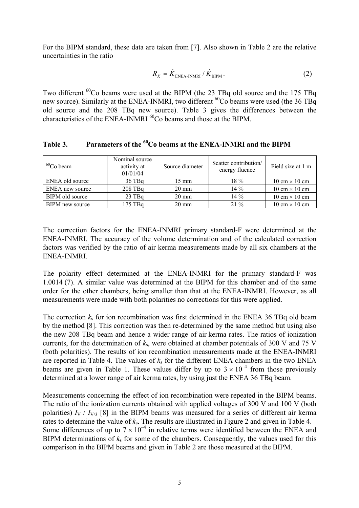For the BIPM standard, these data are taken from [7]. Also shown in Table 2 are the relative uncertainties in the ratio

$$
R_{K} = \dot{K}_{\text{ENEA-INMRI}} / \dot{K}_{\text{BIPM}}.
$$
 (2)

Two different <sup>60</sup>Co beams were used at the BIPM (the 23 TBq old source and the 175 TBq new source). Similarly at the ENEA-INMRI, two different <sup>60</sup>Co beams were used (the 36 TBq old source and the 208 TBq new source). Table 3 gives the differences between the characteristics of the ENEA-INMRI  $^{60}$ Co beams and those at the BIPM.

| $60$ Co beam    | Nominal source<br>activity at<br>01/01/04 | Source diameter | Scatter contribution/<br>energy fluence | Field size at 1 m                    |
|-----------------|-------------------------------------------|-----------------|-----------------------------------------|--------------------------------------|
| ENEA old source | $36$ TBq                                  | $15 \text{ mm}$ | $18\%$                                  | $10 \text{ cm} \times 10 \text{ cm}$ |
| ENEA new source | $208$ TBq                                 | $20 \text{ mm}$ | $14\%$                                  | $10 \text{ cm} \times 10 \text{ cm}$ |
| BIPM old source | $23$ TBq                                  | $20 \text{ mm}$ | $14\%$                                  | $10 \text{ cm} \times 10 \text{ cm}$ |
| BIPM new source | $175$ TBq                                 | $20 \text{ mm}$ | $21\%$                                  | $10 \text{ cm} \times 10 \text{ cm}$ |

Table 3. Parameters of the <sup>60</sup>Co beams at the ENEA-INMRI and the BIPM

The correction factors for the ENEA-INMRI primary standard-F were determined at the ENEA-INMRI. The accuracy of the volume determination and of the calculated correction factors was verified by the ratio of air kerma measurements made by all six chambers at the ENEA-INMRI.

The polarity effect determined at the ENEA-INMRI for the primary standard-F was 1.0014 (7). A similar value was determined at the BIPM for this chamber and of the same order for the other chambers, being smaller than that at the ENEA-INMRI. However, as all measurements were made with both polarities no corrections for this were applied.

The correction *k*s for ion recombination was first determined in the ENEA 36 TBq old beam by the method [8]. This correction was then re-determined by the same method but using also the new 208 TBq beam and hence a wider range of air kerma rates. The ratios of ionization currents, for the determination of *k*s, were obtained at chamber potentials of 300 V and 75 V (both polarities). The results of ion recombination measurements made at the ENEA-INMRI are reported in Table 4. The values of  $k<sub>s</sub>$  for the different ENEA chambers in the two ENEA beams are given in Table 1. These values differ by up to  $3 \times 10^{-4}$  from those previously determined at a lower range of air kerma rates, by using just the ENEA 36 TBq beam.

Measurements concerning the effect of ion recombination were repeated in the BIPM beams. The ratio of the ionization currents obtained with applied voltages of 300 V and 100 V (both polarities)  $I_V / I_{V/3}$  [8] in the BIPM beams was measured for a series of different air kerma rates to determine the value of *k*s. The results are illustrated in Figure 2 and given in Table 4. Some differences of up to  $7 \times 10^{-4}$  in relative terms were identified between the ENEA and BIPM determinations of  $k<sub>s</sub>$  for some of the chambers. Consequently, the values used for this comparison in the BIPM beams and given in Table 2 are those measured at the BIPM.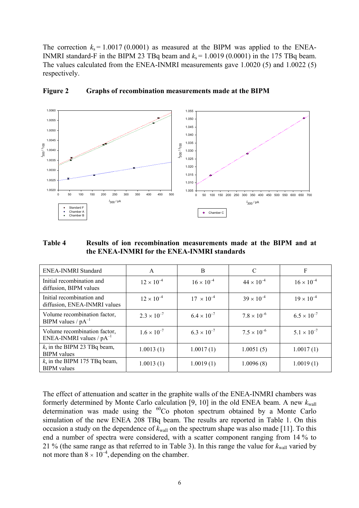The correction  $k_s = 1.0017 (0.0001)$  as measured at the BIPM was applied to the ENEA-INMRI standard-F in the BIPM 23 TBq beam and  $k_s = 1.0019$  (0.0001) in the 175 TBq beam. The values calculated from the ENEA-INMRI measurements gave 1.0020 (5) and 1.0022 (5) respectively.



**Figure 2 Graphs of recombination measurements made at the BIPM** 

**Table 4 Results of ion recombination measurements made at the BIPM and at the ENEA-INMRI for the ENEA-INMRI standards** 

| ENEA-INMRI Standard                                           | A                    | B                    | C                    | F                    |
|---------------------------------------------------------------|----------------------|----------------------|----------------------|----------------------|
| Initial recombination and<br>diffusion, BIPM values           | $12 \times 10^{-4}$  | $16 \times 10^{-4}$  | $44 \times 10^{-4}$  | $16 \times 10^{-4}$  |
| Initial recombination and<br>diffusion, ENEA-INMRI values     | $12 \times 10^{-4}$  | $17 \times 10^{-4}$  | $39 \times 10^{-4}$  | $19 \times 10^{-4}$  |
| Volume recombination factor,<br>BIPM values / $pA^{-1}$       | $2.3 \times 10^{-7}$ | $6.4 \times 10^{-7}$ | $7.8 \times 10^{-6}$ | $6.5 \times 10^{-7}$ |
| Volume recombination factor,<br>ENEA-INMRI values / $pA^{-1}$ | $1.6 \times 10^{-7}$ | $6.3 \times 10^{-7}$ | $7.5 \times 10^{-6}$ | $5.1 \times 10^{-7}$ |
| $k_s$ in the BIPM 23 TBq beam,<br><b>BIPM</b> values          | 1.0013(1)            | 1.0017(1)            | 1.0051(5)            | 1.0017(1)            |
| $k_s$ in the BIPM 175 TBq beam,<br><b>BIPM</b> values         | 1.0013(1)            | 1.0019(1)            | 1.0096(8)            | 1.0019(1)            |

The effect of attenuation and scatter in the graphite walls of the ENEA-INMRI chambers was formerly determined by Monte Carlo calculation [9, 10] in the old ENEA beam. A new  $k_{\text{wall}}$ determination was made using the <sup>60</sup>Co photon spectrum obtained by a Monte Carlo simulation of the new ENEA 208 TBq beam. The results are reported in Table 1. On this occasion a study on the dependence of  $k_{\text{wall}}$  on the spectrum shape was also made [11]. To this end a number of spectra were considered, with a scatter component ranging from 14 % to 21 % (the same range as that referred to in Table 3). In this range the value for  $k_{\text{wall}}$  varied by not more than  $8 \times 10^{-4}$ , depending on the chamber.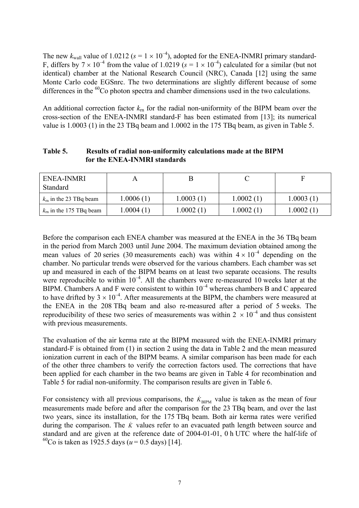The new  $k_{\text{wall}}$  value of 1.0212 ( $s = 1 \times 10^{-4}$ ), adopted for the ENEA-INMRI primary standard-F, differs by  $7 \times 10^{-4}$  from the value of 1.0219 ( $s = 1 \times 10^{-4}$ ) calculated for a similar (but not identical) chamber at the National Research Council (NRC), Canada [12] using the same Monte Carlo code EGSnrc. The two determinations are slightly different because of some differences in the  ${}^{60}Co$  photon spectra and chamber dimensions used in the two calculations.

An additional correction factor *k*rn for the radial non-uniformity of the BIPM beam over the cross-section of the ENEA-INMRI standard-F has been estimated from [13]; its numerical value is 1.0003 (1) in the 23 TBq beam and 1.0002 in the 175 TBq beam, as given in Table 5.

| Table 5. | Results of radial non-uniformity calculations made at the BIPM |
|----------|----------------------------------------------------------------|
|          | for the ENEA-INMRI standards                                   |

| ENEA-INMRI<br>Standard          |           |           |           |           |
|---------------------------------|-----------|-----------|-----------|-----------|
| $km$ in the 23 TBq beam         | 1.0006(1) | 1.0003(1) | 1.0002(1) | 1.0003(1) |
| $k_{\rm m}$ in the 175 TBq beam | 1.0004(1) | 1.0002(1) | 1.0002(1) | 1.0002(1) |

Before the comparison each ENEA chamber was measured at the ENEA in the 36 TBq beam in the period from March 2003 until June 2004. The maximum deviation obtained among the mean values of 20 series (30 measurements each) was within  $4 \times 10^{-4}$  depending on the chamber. No particular trends were observed for the various chambers. Each chamber was set up and measured in each of the BIPM beams on at least two separate occasions. The results were reproducible to within  $10^{-4}$ . All the chambers were re-measured 10 weeks later at the BIPM. Chambers A and F were consistent to within  $10^{-4}$  whereas chambers B and C appeared to have drifted by  $3 \times 10^{-4}$ . After measurements at the BIPM, the chambers were measured at the ENEA in the 208 TBq beam and also re-measured after a period of 5 weeks. The reproducibility of these two series of measurements was within  $2 \times 10^{-4}$  and thus consistent with previous measurements.

The evaluation of the air kerma rate at the BIPM measured with the ENEA-INMRI primary standard-F is obtained from (1) in section 2 using the data in Table 2 and the mean measured ionization current in each of the BIPM beams. A similar comparison has been made for each of the other three chambers to verify the correction factors used. The corrections that have been applied for each chamber in the two beams are given in Table 4 for recombination and Table 5 for radial non-uniformity. The comparison results are given in Table 6.

For consistency with all previous comparisons, the  $\dot{K}_{\text{BIPM}}$  value is taken as the mean of four measurements made before and after the comparison for the 23 TBq beam, and over the last two years, since its installation, for the 175 TBq beam. Both air kerma rates were verified during the comparison. The  $\dot{k}$  values refer to an evacuated path length between source and standard and are given at the reference date of 2004-01-01, 0 h UTC where the half-life of <sup>60</sup>Co is taken as 1925.5 days ( $u = 0.5$  days) [14].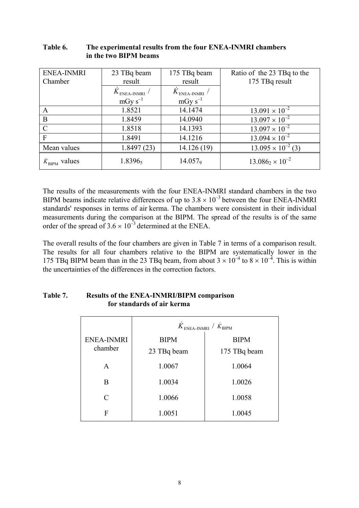| <b>ENEA-INMRI</b><br>Chamber | 23 TBq beam<br>result                                              | 175 TBq beam<br>result | Ratio of the 23 TBq to the<br>175 TBq result |
|------------------------------|--------------------------------------------------------------------|------------------------|----------------------------------------------|
|                              | ${\dot K}_{\rm ENEA{\text -}INMRI}$<br>${\dot K}_{\rm ENEA-INMRI}$ |                        |                                              |
|                              | $mGy s^{-1}$                                                       | $mGy s^{-1}$           |                                              |
| A                            | 1.8521                                                             | 14.1474                | $13.091 \times 10^{-2}$                      |
| B                            | 1.8459                                                             | 14.0940                | $13.097 \times 10^{-2}$                      |
| C                            | 1.8518                                                             | 14.1393                | $13.097 \times 10^{-2}$                      |
| $\mathbf{F}$                 | 1.8491                                                             | 14.1216                | $13.094 \times 10^{-2}$                      |
| Mean values                  | 1.8497(23)                                                         | 14.126 (19)            | $13.095 \times 10^{-2}$ (3)                  |
| $K_{\text{BIPM}}$ values     | 1.83965                                                            | $14.057$ <sup>9</sup>  | $13.086_2 \times 10^{-2}$                    |

**Table 6. The experimental results from the four ENEA-INMRI chambers in the two BIPM beams** 

The results of the measurements with the four ENEA-INMRI standard chambers in the two BIPM beams indicate relative differences of up to  $3.8 \times 10^{-3}$  between the four ENEA-INMRI standards' responses in terms of air kerma. The chambers were consistent in their individual measurements during the comparison at the BIPM. The spread of the results is of the same order of the spread of  $3.6 \times 10^{-3}$  determined at the ENEA.

The overall results of the four chambers are given in Table 7 in terms of a comparison result. The results for all four chambers relative to the BIPM are systematically lower in the 175 TBq BIPM beam than in the 23 TBq beam, from about  $3 \times 10^{-4}$  to  $8 \times 10^{-4}$ . This is within the uncertainties of the differences in the correction factors.

|                   | $K_{\text{ENEA-INMRI}} / K_{\text{BIPM}}$ |              |  |  |
|-------------------|-------------------------------------------|--------------|--|--|
| <b>ENEA-INMRI</b> | <b>BIPM</b>                               | <b>BIPM</b>  |  |  |
| chamber           | 23 TBq beam                               | 175 TBq beam |  |  |
| A                 | 1.0067                                    | 1.0064       |  |  |
| B                 | 1.0034                                    | 1.0026       |  |  |
| C                 | 1.0066                                    | 1.0058       |  |  |
| F                 | 1.0051                                    | 1.0045       |  |  |

#### **Table 7. Results of the ENEA-INMRI/BIPM comparison for standards of air kerma**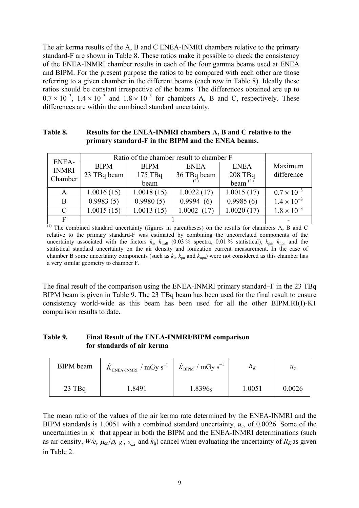The air kerma results of the A, B and C ENEA-INMRI chambers relative to the primary standard-F are shown in Table 8. These ratios make it possible to check the consistency of the ENEA-INMRI chamber results in each of the four gamma beams used at ENEA and BIPM. For the present purpose the ratios to be compared with each other are those referring to a given chamber in the different beams (each row in Table 8). Ideally these ratios should be constant irrespective of the beams. The differences obtained are up to  $0.7 \times 10^{-3}$ ,  $1.4 \times 10^{-3}$  and  $1.8 \times 10^{-3}$  for chambers A, B and C, respectively. These differences are within the combined standard uncertainty.

#### **Table 8. Results for the ENEA-INMRI chambers A, B and C relative to the primary standard-F in the BIPM and the ENEA beams.**

| ENEA-         | Ratio of the chamber result to chamber F |             |             |             |                      |
|---------------|------------------------------------------|-------------|-------------|-------------|----------------------|
| <b>INMRI</b>  | <b>BIPM</b>                              | <b>BIPM</b> | <b>ENEA</b> | <b>ENEA</b> | Maximum              |
| Chamber       | 23 TBq beam                              | 175 TBq     | 36 TBq beam | 208 TBq     | difference           |
|               |                                          | beam        |             | beam $(1)$  |                      |
| A             | 1.0016(15)                               | 1.0018(15)  | 1.0022(17)  | 1.0015(17)  | $0.7 \times 10^{-3}$ |
| B             | 0.9983(5)                                | 0.9980(5)   | 0.9994(6)   | 0.9985(6)   | $1.4 \times 10^{-3}$ |
| $\mathcal{C}$ | 1.0015(15)                               | 1.0013(15)  | 1.0002(17)  | 1.0020(17)  | $1.8 \times 10^{-3}$ |
|               |                                          |             |             |             |                      |

 $\overline{^{(1)}}$  The combined standard uncertainty (figures in parentheses) on the results for chambers A, B and C relative to the primary standard-F was estimated by combining the uncorrelated components of the uncertainty associated with the factors  $k_s$ ,  $k_{wall}$  (0.03 % spectra, 0.01 % statistical),  $k_{pn}$ ,  $k_{npn}$  and the statistical standard uncertainty on the air density and ionization current measurement. In the case of chamber B some uncertainty components (such as  $k_s$ ,  $k_{pn}$  and  $k_{npn}$ ) were not considered as this chamber has a very similar geometry to chamber F.

The final result of the comparison using the ENEA-INMRI primary standard–F in the 23 TBq BIPM beam is given in Table 9. The 23 TBq beam has been used for the final result to ensure consistency world-wide as this beam has been used for all the other BIPM.RI(I)-K1 comparison results to date.

## **Table 9. Final Result of the ENEA-INMRI/BIPM comparison for standards of air kerma**

| <b>BIPM</b> beam | $K_{\text{ENEA-INMRI}}$ / mGy s <sup>-1</sup> | $\dot{K}_{\text{BIPM}}$ / mGy s <sup>-1</sup> | $K_K$  | $u_{c}$ |
|------------------|-----------------------------------------------|-----------------------------------------------|--------|---------|
| $23$ TBq         | 1.8491                                        | 1.8396 <sub>5</sub>                           | 1.0051 | 0.0026  |

The mean ratio of the values of the air kerma rate determined by the ENEA-INMRI and the BIPM standards is 1.0051 with a combined standard uncertainty, *u*c, of 0.0026. Some of the uncertainties in  $\dot{K}$  that appear in both the BIPM and the ENEA-INMRI determinations (such as air density,  $W/e$ ,  $\mu_{en}/\rho$ ,  $\bar{g}$ ,  $\bar{s}_{ca}$  and  $k_h$ ) cancel when evaluating the uncertainty of  $R_K$  as given in Table 2.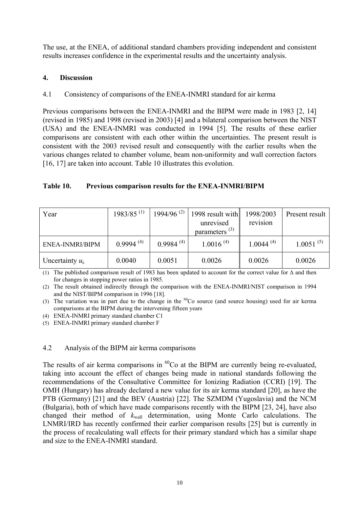The use, at the ENEA, of additional standard chambers providing independent and consistent results increases confidence in the experimental results and the uncertainty analysis.

## **4. Discussion**

## 4.1 Consistency of comparisons of the ENEA-INMRI standard for air kerma

Previous comparisons between the ENEA-INMRI and the BIPM were made in 1983 [2, 14] (revised in 1985) and 1998 (revised in 2003) [4] and a bilateral comparison between the NIST (USA) and the ENEA-INMRI was conducted in 1994 [5]. The results of these earlier comparisons are consistent with each other within the uncertainties. The present result is consistent with the 2003 revised result and consequently with the earlier results when the various changes related to chamber volume, beam non-uniformity and wall correction factors [16, 17] are taken into account. Table 10 illustrates this evolution.

#### **Table 10. Previous comparison results for the ENEA-INMRI/BIPM**

| Year              | $1983/85$ <sup>(1)</sup> | $1994/96^{(2)}$ | 1998 result with                 | 1998/2003      | Present result |
|-------------------|--------------------------|-----------------|----------------------------------|----------------|----------------|
|                   |                          |                 | unrevised<br>parameters $^{(3)}$ | revision       |                |
|                   |                          |                 |                                  |                |                |
| ENEA-INMRI/BIPM   | $0.9994^{(4)}$           | $0.9984^{(4)}$  | $1.0016^{(4)}$                   | $1.0044^{(4)}$ | $1.0051^{(5)}$ |
| Uncertainty $u_c$ | 0.0040                   | 0.0051          | 0.0026                           | 0.0026         | 0.0026         |

(1) The published comparison result of 1983 has been updated to account for the correct value for ∆ and then for changes in stopping power ratios in 1985.

(2) The result obtained indirectly through the comparison with the ENEA-INMRI/NIST comparison in 1994 and the NIST/BIPM comparison in 1996 [18].

(3) The variation was in part due to the change in the  ${}^{60}Co$  source (and source housing) used for air kerma comparisons at the BIPM during the intervening fifteen years

(4) ENEA-INMRI primary standard chamber C1

(5) ENEA-INMRI primary standard chamber F

### 4.2 Analysis of the BIPM air kerma comparisons

The results of air kerma comparisons in  ${}^{60}Co$  at the BIPM are currently being re-evaluated, taking into account the effect of changes being made in national standards following the recommendations of the Consultative Committee for Ionizing Radiation (CCRI) [19]. The OMH (Hungary) has already declared a new value for its air kerma standard [20], as have the PTB (Germany) [21] and the BEV (Austria) [22]. The SZMDM (Yugoslavia) and the NCM (Bulgaria), both of which have made comparisons recently with the BIPM [23, 24], have also changed their method of *k*wall determination, using Monte Carlo calculations. The LNMRI/IRD has recently confirmed their earlier comparison results [25] but is currently in the process of recalculating wall effects for their primary standard which has a similar shape and size to the ENEA-INMRI standard.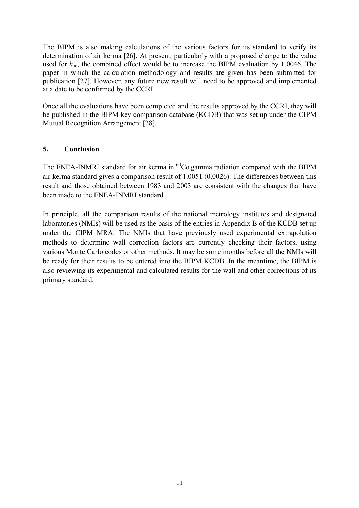The BIPM is also making calculations of the various factors for its standard to verify its determination of air kerma [26]. At present, particularly with a proposed change to the value used for *k*an, the combined effect would be to increase the BIPM evaluation by 1.0046. The paper in which the calculation methodology and results are given has been submitted for publication [27]. However, any future new result will need to be approved and implemented at a date to be confirmed by the CCRI.

Once all the evaluations have been completed and the results approved by the CCRI, they will be published in the BIPM key comparison database (KCDB) that was set up under the CIPM Mutual Recognition Arrangement [28].

## **5. Conclusion**

The ENEA-INMRI standard for air kerma in  ${}^{60}Co$  gamma radiation compared with the BIPM air kerma standard gives a comparison result of 1.0051 (0.0026). The differences between this result and those obtained between 1983 and 2003 are consistent with the changes that have been made to the ENEA-INMRI standard.

In principle, all the comparison results of the national metrology institutes and designated laboratories (NMIs) will be used as the basis of the entries in Appendix B of the KCDB set up under the CIPM MRA. The NMIs that have previously used experimental extrapolation methods to determine wall correction factors are currently checking their factors, using various Monte Carlo codes or other methods. It may be some months before all the NMIs will be ready for their results to be entered into the BIPM KCDB. In the meantime, the BIPM is also reviewing its experimental and calculated results for the wall and other corrections of its primary standard.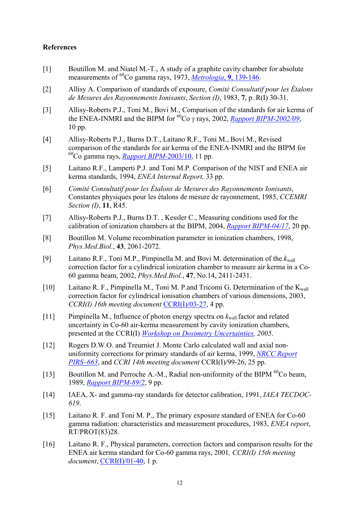#### **References**

- [1] Boutillon M. and Niatel M.-T., A study of a graphite cavity chamber for absolute measurements of 60Co gamma rays, 1973, *[Metrologia](https://www.bipm.org/metrologia/ViewArticle.jsp?VOLUME=9&PAGE=139-146)*, **9**, 139-146.
- [2] Allisy A. Comparison of standards of exposure, *Comité Consultatif pour les Étalons de Mesures des Rayonnements Ionisants*, *Section (I)*, 1983, **7**, p. R(I) 30-31.
- [3] Allisy-Roberts P.J., Toni M., Bovi M., Comparison of the standards for air kerma of the ENEA-INMRI and the BIPM for  $^{60}$ Co  $\gamma$  rays, 2002, *[Rapport BIPM-2002/09](https://www.bipm.org/utils/common/pdf/rapportBIPM/2002/09.pdf)*, 10 pp.
- [4] Allisy-Roberts P.J., Burns D.T., Laitano R.F., Toni M., Bovi M., Revised comparison of the standards for air kerma of the ENEA-INMRI and the BIPM for 60Co gamma rays, *[Rapport BIPM-](https://www.bipm.org/utils/common/pdf/rapportBIPM/2003/10.pdf)*2003/10, 11 pp.
- [5] Laitano R.F., Lamperti P.J. and Toni M.P. Comparison of the NIST and ENEA air kerma standards, 1994, *ENEA Internal Report,* 33 pp.
- [6] *Comité Consultatif pour les Étalons de Mesures des Rayonnements Ionisants*, Constantes physiques pour les étalons de mesure de rayonnement, 1985, *CCEMRI Section (I)*, **11**, R45.
- [7] Allisy-Roberts P.J., Burns D.T. , Kessler C., Measuring conditions used for the calibration of ionization chambers at the BIPM, 2004, *[Rapport BIPM-04/17](https://www.bipm.org/utils/common/pdf/rapportBIPM/2004/17.pdf)*, 20 pp.
- [8] Boutillon M. Volume recombination parameter in ionization chambers, 1998, *Phys.Med.Biol.*, **43**, 2061-2072.
- [9] Laitano R.F., Toni M.P., Pimpinella M. and Bovi M. determination of the  $k_{wall}$ correction factor for a cylindrical ionization chamber to measure air kerma in a Co-60 gamma beam, 2002, *Phys.Med.Biol.*, **47**, No.14, 2411-2431.
- [10] Laitano R. F., Pimpinella M., Toni M. P.and Tricomi G. Determination of the  $K_{wall}$ correction factor for cylindrical ionisation chambers of various dimensions, 2003, *CCRI(I) 16th meeting document* [CCRI\(I\)/03-27](https://www.bipm.org/cc/CCRI(I)/Allowed/16/CCRI(I)03-27.pdf), 4 pp.
- [11] Pimpinella M., Influence of photon energy spectra on *k*wall factor and related uncertainty in Co-60 air-kerma measurement by cavity ionization chambers, presented at the CCRI(I) *[Workshop on Dosimetry Uncertainties](https://www.bipm.org/wg/CCRI(I)/WORKSHOP(I)/Allowed/May_2005/ENEA_Kwall.pdf), 2005*.
- [12] Rogers D.W.O. and Treurniet J. Monte Carlo calculated wall and axial nonuniformity corrections for primary standards of air kerma, 1999, *[NRCC Report](http://www.irs.inms.nrc.ca/inms/irs/papers/PIRS663/pirs663.html) [PIRS–663](http://www.irs.inms.nrc.ca/inms/irs/papers/PIRS663/pirs663.html)*, and *CCRI 14th meeting document* CCRI(I)/99-26, 25 pp.
- Boutillon M. and Perroche A.-M., Radial non-uniformity of the BIPM <sup>60</sup>Co beam, 1989, *[Rapport BIPM-89/2](https://www.bipm.org/jsp/en/ViewBIPMReport.jsp?YEAR=1989&REP=02)*, 9 pp. [13]
- [14] IAEA, X- and gamma-ray standards for detector calibration, 1991, *IAEA TECDOC-619*.
- [15] Laitano R. F. and Toni M. P., The primary exposure standard of ENEA for Co-60 gamma radiation: characteristics and measurement procedures, 1983, *ENEA report*, RT/PROT(83)28.
- [16] Laitano R. F., Physical parameters, correction factors and comparison results for the ENEA air kerma standard for Co-60 gamma rays, 2001*, CCRI(I) 15th meeting document*, [CCRI\(I\)/01-40,](https://www.bipm.org/cc/CCRI(I)/Allowed/15/CCRI(I)01-40.pdf) 1 p.